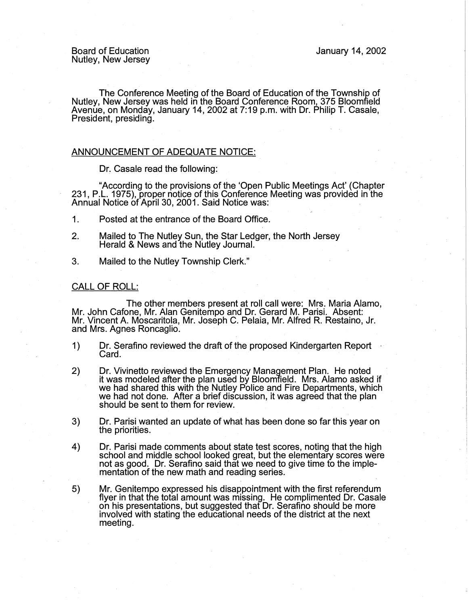Board of Education Nutley, New Jersey

The Conference Meeting of the Board of Education of the Township of Nutley, New Jersey was held in the Board Conference Room, 375 Bloomfield Avenue, on Monday, January 14, 2002 at 7:19 p.m. with Dr. Philip T. Casale, President, presiding.

## ANNOUNCEMENT OF ADEQUATE NOTICE:

Dr. Casale read the following:

"According to the provisions of the 'Open Public Meetings Act' (Chapter 231, P.L. 1975), proper notice of this Conference Meeting was provided in the Annual Notice of April 30, 2001. Said Notice was: .

- 1. Posted at the entrance of the Board Office.
- 2. Mailed to The Nutley Sun, the Star Ledger, the North Jersey Herald & News and the Nutley Journal.
- 3. Mailed to the Nutley Township Clerk."

## CALL OF ROLL:

The other members present at roll call were: Mrs. Maria Alamo, Mr. John Cafone, Mr. Alan Genitempo and Dr. Gerard M. Parisi. Absent: Mr. Vincent A. Moscaritola, Mr. Joseph C. Pelaia, Mr. Alfred R. Restaino, Jr. and Mrs. Agnes Roncaglio.

- 1) Dr. Serafino reviewed the draft of the proposed Kindergarten Report · Card.
- 2) Dr. Vivinetto reviewed the Emergency Management Plan. He noted it was modeled after the plan used by Bloomfield. Mrs. Alamo asked if we had shared this with the Nutley Police and Fire Departments, which we had not done. After a brief discussion, it was agreed that the plan should be sent to them for review.
- 3) Dr. Parisi wanted an update of what has been done so far this year on the priorities.
- 4) Dr. Parisi made comments about state test scores, noting that the high school and middle school looked great, but the elementary scores were not as good. Dr. Serafino said that we need to give time to the implementation of the new math and reading series.
- 5) Mr. Genitempo expressed his disappointment with the first referendum flyer in that the total amount was missing. He complimented Dr. Casale on his presentations, but suggested that Dr. Serafino should be more involved with stating the educational needs of the district at the next meeting.